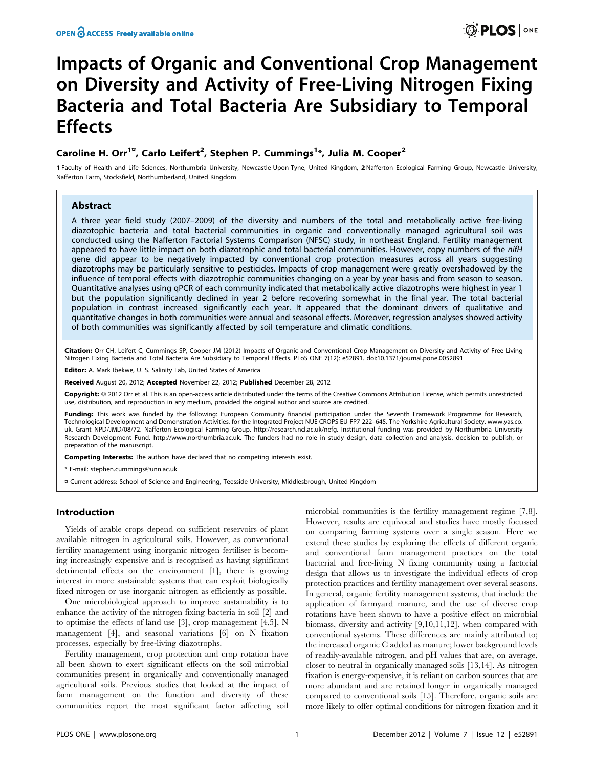# Impacts of Organic and Conventional Crop Management on Diversity and Activity of Free-Living Nitrogen Fixing Bacteria and Total Bacteria Are Subsidiary to Temporal **Effects**

## Caroline H. Orr<sup>1¤</sup>, Carlo Leifert<sup>2</sup>, Stephen P. Cummings<sup>1\*</sup>, Julia M. Cooper<sup>2</sup>

1 Faculty of Health and Life Sciences, Northumbria University, Newcastle-Upon-Tyne, United Kingdom, 2 Nafferton Ecological Farming Group, Newcastle University, Nafferton Farm, Stocksfield, Northumberland, United Kingdom

### Abstract

A three year field study (2007–2009) of the diversity and numbers of the total and metabolically active free-living diazotophic bacteria and total bacterial communities in organic and conventionally managed agricultural soil was conducted using the Nafferton Factorial Systems Comparison (NFSC) study, in northeast England. Fertility management appeared to have little impact on both diazotrophic and total bacterial communities. However, copy numbers of the nifH gene did appear to be negatively impacted by conventional crop protection measures across all years suggesting diazotrophs may be particularly sensitive to pesticides. Impacts of crop management were greatly overshadowed by the influence of temporal effects with diazotrophic communities changing on a year by year basis and from season to season. Quantitative analyses using qPCR of each community indicated that metabolically active diazotrophs were highest in year 1 but the population significantly declined in year 2 before recovering somewhat in the final year. The total bacterial population in contrast increased significantly each year. It appeared that the dominant drivers of qualitative and quantitative changes in both communities were annual and seasonal effects. Moreover, regression analyses showed activity of both communities was significantly affected by soil temperature and climatic conditions.

Citation: Orr CH, Leifert C, Cummings SP, Cooper JM (2012) Impacts of Organic and Conventional Crop Management on Diversity and Activity of Free-Living Nitrogen Fixing Bacteria and Total Bacteria Are Subsidiary to Temporal Effects. PLoS ONE 7(12): e52891. doi:10.1371/journal.pone.0052891

Editor: A. Mark Ibekwe, U. S. Salinity Lab, United States of America

Received August 20, 2012; Accepted November 22, 2012; Published December 28, 2012

Copyright: © 2012 Orr et al. This is an open-access article distributed under the terms of the Creative Commons Attribution License, which permits unrestricted use, distribution, and reproduction in any medium, provided the original author and source are credited.

Funding: This work was funded by the following: European Community financial participation under the Seventh Framework Programme for Research, Technological Development and Demonstration Activities, for the Integrated Project NUE CROPS EU-FP7 222–645. The Yorkshire Agricultural Society. www.yas.co. uk. Grant NPD/JMD/08/72. Nafferton Ecological Farming Group. http://research.ncl.ac.uk/nefg. Institutional funding was provided by Northumbria University Research Development Fund. http://www.northumbria.ac.uk. The funders had no role in study design, data collection and analysis, decision to publish, or preparation of the manuscript.

Competing Interests: The authors have declared that no competing interests exist.

\* E-mail: stephen.cummings@unn.ac.uk

¤ Current address: School of Science and Engineering, Teesside University, Middlesbrough, United Kingdom

### Introduction

Yields of arable crops depend on sufficient reservoirs of plant available nitrogen in agricultural soils. However, as conventional fertility management using inorganic nitrogen fertiliser is becoming increasingly expensive and is recognised as having significant detrimental effects on the environment [1], there is growing interest in more sustainable systems that can exploit biologically fixed nitrogen or use inorganic nitrogen as efficiently as possible.

One microbiological approach to improve sustainability is to enhance the activity of the nitrogen fixing bacteria in soil [2] and to optimise the effects of land use [3], crop management [4,5], N management [4], and seasonal variations [6] on N fixation processes, especially by free-living diazotrophs.

Fertility management, crop protection and crop rotation have all been shown to exert significant effects on the soil microbial communities present in organically and conventionally managed agricultural soils. Previous studies that looked at the impact of farm management on the function and diversity of these communities report the most significant factor affecting soil

microbial communities is the fertility management regime [7,8]. However, results are equivocal and studies have mostly focussed on comparing farming systems over a single season. Here we extend these studies by exploring the effects of different organic and conventional farm management practices on the total bacterial and free-living N fixing community using a factorial design that allows us to investigate the individual effects of crop protection practices and fertility management over several seasons. In general, organic fertility management systems, that include the application of farmyard manure, and the use of diverse crop rotations have been shown to have a positive effect on microbial biomass, diversity and activity [9,10,11,12], when compared with conventional systems. These differences are mainly attributed to; the increased organic C added as manure; lower background levels of readily-available nitrogen, and pH values that are, on average, closer to neutral in organically managed soils [13,14]. As nitrogen fixation is energy-expensive, it is reliant on carbon sources that are more abundant and are retained longer in organically managed compared to conventional soils [15]. Therefore, organic soils are more likely to offer optimal conditions for nitrogen fixation and it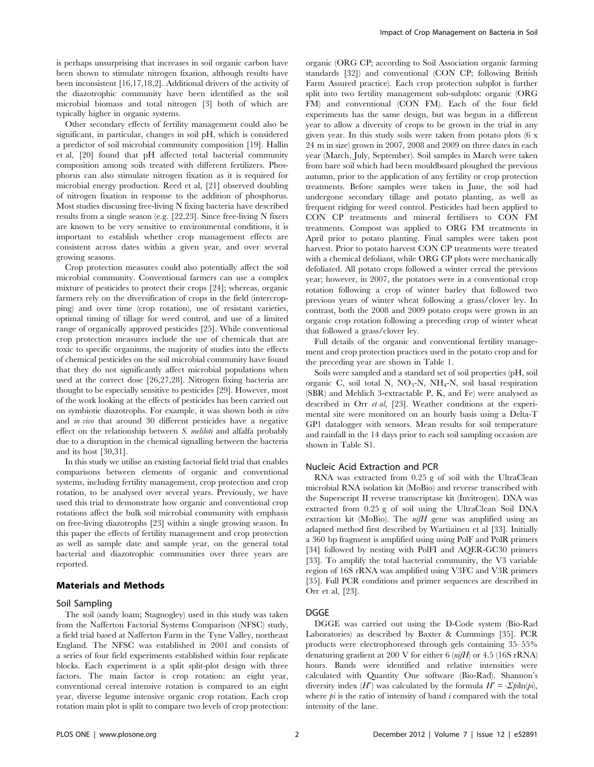is perhaps unsurprising that increases in soil organic carbon have been shown to stimulate nitrogen fixation, although results have been inconsistent [16,17,18,2]. Additional drivers of the activity of the diazotrophic community have been identified as the soil microbial biomass and total nitrogen [3] both of which are typically higher in organic systems.

Other secondary effects of fertility management could also be significant, in particular, changes in soil pH, which is considered a predictor of soil microbial community composition [19]. Hallin et al, [20] found that pH affected total bacterial community composition among soils treated with different fertilizers. Phosphorus can also stimulate nitrogen fixation as it is required for microbial energy production. Reed et al, [21] observed doubling of nitrogen fixation in response to the addition of phosphorus. Most studies discussing free-living N fixing bacteria have described results from a single season (e.g. [22,23]. Since free-living N fixers are known to be very sensitive to environmental conditions, it is important to establish whether crop management effects are consistent across dates within a given year, and over several growing seasons.

Crop protection measures could also potentially affect the soil microbial community. Conventional farmers can use a complex mixture of pesticides to protect their crops [24]; whereas, organic farmers rely on the diversification of crops in the field (intercropping) and over time (crop rotation), use of resistant varieties, optimal timing of tillage for weed control, and use of a limited range of organically approved pesticides [25]. While conventional crop protection measures include the use of chemicals that are toxic to specific organisms, the majority of studies into the effects of chemical pesticides on the soil microbial community have found that they do not significantly affect microbial populations when used at the correct dose [26,27,28]. Nitrogen fixing bacteria are thought to be especially sensitive to pesticides [29]. However, most of the work looking at the effects of pesticides has been carried out on symbiotic diazotrophs. For example, it was shown both in vitro and in vivo that around 30 different pesticides have a negative effect on the relationship between S. meliloti and alfalfa probably due to a disruption in the chemical signalling between the bacteria and its host [30,31].

In this study we utilise an existing factorial field trial that enables comparisons between elements of organic and conventional systems, including fertility management, crop protection and crop rotation, to be analysed over several years. Previously, we have used this trial to demonstrate how organic and conventional crop rotations affect the bulk soil microbial community with emphasis on free-living diazotrophs [23] within a single growing season. In this paper the effects of fertility management and crop protection as well as sample date and sample year, on the general total bacterial and diazotrophic communities over three years are reported.

#### Materials and Methods

#### Soil Sampling

The soil (sandy loam; Stagnogley) used in this study was taken from the Nafferton Factorial Systems Comparison (NFSC) study, a field trial based at Nafferton Farm in the Tyne Valley, northeast England. The NFSC was established in 2001 and consists of a series of four field experiments established within four replicate blocks. Each experiment is a split split-plot design with three factors. The main factor is crop rotation: an eight year, conventional cereal intensive rotation is compared to an eight year, diverse legume intensive organic crop rotation. Each crop rotation main plot is split to compare two levels of crop protection: organic (ORG CP; according to Soil Association organic farming standards [32]) and conventional (CON CP; following British Farm Assured practice). Each crop protection subplot is further split into two fertility management sub-subplots: organic (ORG FM) and conventional (CON FM). Each of the four field experiments has the same design, but was begun in a different year to allow a diversity of crops to be grown in the trial in any given year. In this study soils were taken from potato plots (6 x 24 m in size) grown in 2007, 2008 and 2009 on three dates in each year (March, July, September). Soil samples in March were taken from bare soil which had been mouldboard ploughed the previous autumn, prior to the application of any fertility or crop protection treatments. Before samples were taken in June, the soil had undergone secondary tillage and potato planting, as well as frequent ridging for weed control. Pesticides had been applied to CON CP treatments and mineral fertilisers to CON FM treatments. Compost was applied to ORG FM treatments in April prior to potato planting. Final samples were taken post harvest. Prior to potato harvest CON CP treatments were treated with a chemical defoliant, while ORG CP plots were mechanically defoliated. All potato crops followed a winter cereal the previous year; however, in 2007, the potatoes were in a conventional crop rotation following a crop of winter barley that followed two previous years of winter wheat following a grass/clover ley. In contrast, both the 2008 and 2009 potato crops were grown in an organic crop rotation following a preceding crop of winter wheat that followed a grass/clover ley.

Full details of the organic and conventional fertility management and crop protection practices used in the potato crop and for the preceding year are shown in Table 1.

Soils were sampled and a standard set of soil properties (pH, soil organic C, soil total N,  $NO<sub>3</sub>$ -N, NH<sub>4</sub>-N, soil basal respiration (SBR) and Mehlich 3-extractable P, K, and Fe) were analysed as described in Orr et al, [23]. Weather conditions at the experimental site were monitored on an hourly basis using a Delta-T GP1 datalogger with sensors. Mean results for soil temperature and rainfall in the 14 days prior to each soil sampling occasion are shown in Table S1.

#### Nucleic Acid Extraction and PCR

RNA was extracted from 0.25 g of soil with the UltraClean microbial RNA isolation kit (MoBio) and reverse transcribed with the Superscript II reverse transcriptase kit (Invitrogen). DNA was extracted from 0.25 g of soil using the UltraClean Soil DNA extraction kit (MoBio). The  $nifH$  gene was amplified using an adapted method first described by Wartiainen et al [33]. Initially a 360 bp fragment is amplified using using PolF and PolR primers [34] followed by nesting with PolFI and AQER-GC30 primers [33]. To amplify the total bacterial community, the V3 variable region of 16S rRNA was amplified using V3FC and V3R primers [35]. Full PCR conditions and primer sequences are described in Orr et al, [23].

#### DGGE

DGGE was carried out using the D-Code system (Bio-Rad Laboratories) as described by Baxter & Cummings [35]. PCR products were electrophoresed through gels containing 35–55% denaturing gradient at 200 V for either 6 (nifH) or 4.5 (16S rRNA) hours. Bands were identified and relative intensities were calculated with Quantity One software (Bio-Rad). Shannon's diversity index  $(H')$  was calculated by the formula  $H' = -\sum p_i \ln(p_i)$ , where  $pi$  is the ratio of intensity of band  $i$  compared with the total intensity of the lane.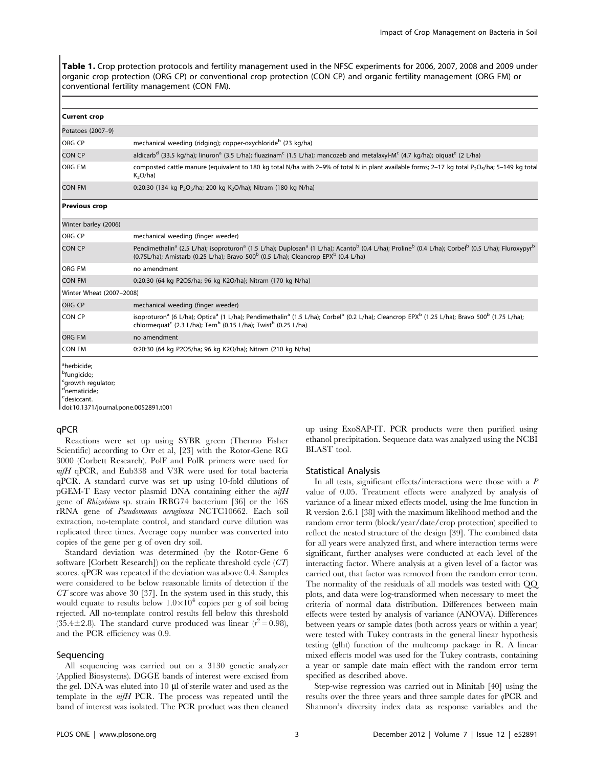Table 1. Crop protection protocols and fertility management used in the NFSC experiments for 2006, 2007, 2008 and 2009 under organic crop protection (ORG CP) or conventional crop protection (CON CP) and organic fertility management (ORG FM) or conventional fertility management (CON FM).

| <b>Current crop</b>                                                                                                                                                                  |                                                                                                                                                                                                                                                                                                                                                    |
|--------------------------------------------------------------------------------------------------------------------------------------------------------------------------------------|----------------------------------------------------------------------------------------------------------------------------------------------------------------------------------------------------------------------------------------------------------------------------------------------------------------------------------------------------|
| Potatoes (2007-9)                                                                                                                                                                    |                                                                                                                                                                                                                                                                                                                                                    |
| ORG CP                                                                                                                                                                               | mechanical weeding (ridging); copper-oxychloride <sup>b</sup> (23 kg/ha)                                                                                                                                                                                                                                                                           |
| CON CP                                                                                                                                                                               | aldicarb <sup>d</sup> (33.5 kg/ha); linuron <sup>a</sup> (3.5 L/ha); fluazinam <sup>c</sup> (1.5 L/ha); mancozeb and metalaxyl-M <sup>c</sup> (4.7 kg/ha); oiquat <sup>e</sup> (2 L/ha)                                                                                                                                                            |
| ORG FM                                                                                                                                                                               | composted cattle manure (equivalent to 180 kg total N/ha with 2-9% of total N in plant available forms; 2-17 kg total P <sub>2</sub> O <sub>5</sub> /ha; 5-149 kg total<br>K <sub>2</sub> O/ha)                                                                                                                                                    |
| <b>CON FM</b>                                                                                                                                                                        | 0:20:30 (134 kg P <sub>2</sub> O <sub>5</sub> /ha; 200 kg K <sub>2</sub> O/ha); Nitram (180 kg N/ha)                                                                                                                                                                                                                                               |
| <b>Previous crop</b>                                                                                                                                                                 |                                                                                                                                                                                                                                                                                                                                                    |
| Winter barley (2006)                                                                                                                                                                 |                                                                                                                                                                                                                                                                                                                                                    |
| ORG CP                                                                                                                                                                               | mechanical weeding (finger weeder)                                                                                                                                                                                                                                                                                                                 |
| CON CP                                                                                                                                                                               | Pendimethalin <sup>a</sup> (2.5 L/ha); isoproturon <sup>a</sup> (1.5 L/ha); Duplosan <sup>a</sup> (1 L/ha); Acanto <sup>b</sup> (0.4 L/ha); Proline <sup>b</sup> (0.4 L/ha); Corbel <sup>b</sup> (0.5 L/ha); Fluroxypyr <sup>b</sup><br>(0.75L/ha); Amistarb (0.25 L/ha); Bravo 500 <sup>b</sup> (0.5 L/ha); Cleancrop EPX <sup>b</sup> (0.4 L/ha) |
| ORG FM                                                                                                                                                                               | no amendment                                                                                                                                                                                                                                                                                                                                       |
| <b>CON FM</b>                                                                                                                                                                        | 0:20:30 (64 kg P2O5/ha; 96 kg K2O/ha); Nitram (170 kg N/ha)                                                                                                                                                                                                                                                                                        |
| Winter Wheat (2007-2008)                                                                                                                                                             |                                                                                                                                                                                                                                                                                                                                                    |
| ORG CP                                                                                                                                                                               | mechanical weeding (finger weeder)                                                                                                                                                                                                                                                                                                                 |
| CON CP                                                                                                                                                                               | isoproturon <sup>a</sup> (6 L/ha); Optica <sup>a</sup> (1 L/ha); Pendimethalin <sup>a</sup> (1.5 L/ha); Corbel <sup>b</sup> (0.2 L/ha); Cleancrop EPX <sup>b</sup> (1.25 L/ha); Bravo 500 <sup>b</sup> (1.75 L/ha);<br>chlormequat <sup>c</sup> (2.3 L/ha); Tern <sup>b</sup> (0.15 L/ha); Twist <sup>b</sup> (0.25 L/ha)                          |
| ORG FM                                                                                                                                                                               | no amendment                                                                                                                                                                                                                                                                                                                                       |
| CON FM                                                                                                                                                                               | 0:20:30 (64 kg P2O5/ha; 96 kg K2O/ha); Nitram (210 kg N/ha)                                                                                                                                                                                                                                                                                        |
| <sup>a</sup> herbicide;<br><sup>b</sup> fungicide;<br><sup>c</sup> growth regulator;<br><sup>d</sup> nematicide:<br><sup>e</sup> desiccant.<br>doi:10.1371/journal.pone.0052891.t001 |                                                                                                                                                                                                                                                                                                                                                    |

## qPCR

Reactions were set up using SYBR green (Thermo Fisher Scientific) according to Orr et al, [23] with the Rotor-Gene RG 3000 (Corbett Research). PolF and PolR primers were used for  $nifH$  qPCR, and Eub338 and V3R were used for total bacteria qPCR. A standard curve was set up using 10-fold dilutions of pGEM-T Easy vector plasmid DNA containing either the nifH gene of Rhizobium sp. strain IRBG74 bacterium [36] or the 16S rRNA gene of Pseudomonas aeruginosa NCTC10662. Each soil extraction, no-template control, and standard curve dilution was replicated three times. Average copy number was converted into copies of the gene per g of oven dry soil.

Standard deviation was determined (by the Rotor-Gene 6 software [Corbett Research]) on the replicate threshold cycle (CT) scores. qPCR was repeated if the deviation was above 0.4. Samples were considered to be below reasonable limits of detection if the  $CT$  score was above 30 [37]. In the system used in this study, this would equate to results below  $1.0\times10^4$  copies per g of soil being rejected. All no-template control results fell below this threshold  $(35.4 \pm 2.8)$ . The standard curve produced was linear  $(r^2 = 0.98)$ , and the PCR efficiency was 0.9.

## Sequencing

All sequencing was carried out on a 3130 genetic analyzer (Applied Biosystems). DGGE bands of interest were excised from the gel. DNA was eluted into  $10 \mu$  of sterile water and used as the template in the  $nifH$  PCR. The process was repeated until the band of interest was isolated. The PCR product was then cleaned up using ExoSAP-IT. PCR products were then purified using ethanol precipitation. Sequence data was analyzed using the NCBI BLAST tool.

#### Statistical Analysis

In all tests, significant effects/interactions were those with a P value of 0.05. Treatment effects were analyzed by analysis of variance of a linear mixed effects model, using the lme function in R version 2.6.1 [38] with the maximum likelihood method and the random error term (block/year/date/crop protection) specified to reflect the nested structure of the design [39]. The combined data for all years were analyzed first, and where interaction terms were significant, further analyses were conducted at each level of the interacting factor. Where analysis at a given level of a factor was carried out, that factor was removed from the random error term. The normality of the residuals of all models was tested with QQ plots, and data were log-transformed when necessary to meet the criteria of normal data distribution. Differences between main effects were tested by analysis of variance (ANOVA). Differences between years or sample dates (both across years or within a year) were tested with Tukey contrasts in the general linear hypothesis testing (glht) function of the multcomp package in R. A linear mixed effects model was used for the Tukey contrasts, containing a year or sample date main effect with the random error term specified as described above.

Step-wise regression was carried out in Minitab [40] using the results over the three years and three sample dates for  $qPCR$  and Shannon's diversity index data as response variables and the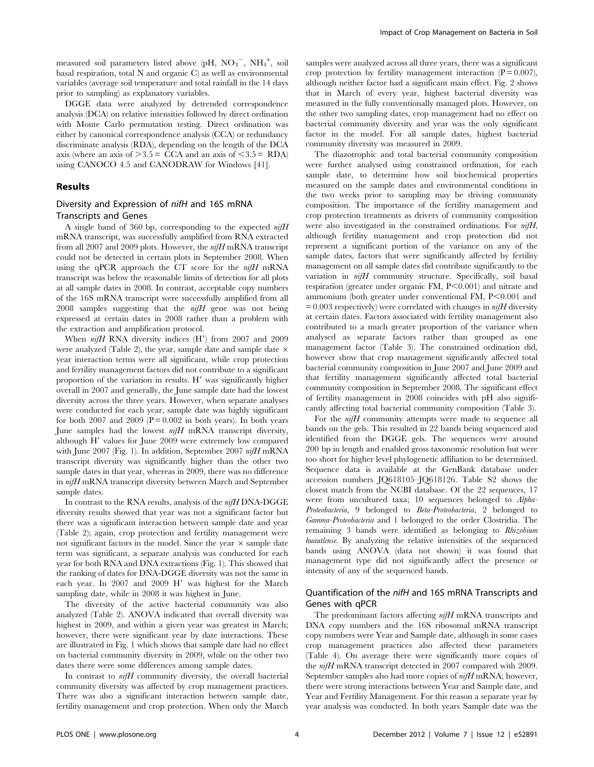measured soil parameters listed above (pH,  $\mathrm{NO_3}^-$ ,  $\mathrm{NH_4}^+$ , soil basal respiration, total N and organic C) as well as environmental variables (average soil temperature and total rainfall in the 14 days prior to sampling) as explanatory variables.

DGGE data were analyzed by detrended correspondence analysis (DCA) on relative intensities followed by direct ordination with Monte Carlo permutation testing. Direct ordination was either by canonical correspondence analysis (CCA) or redundancy discriminate analysis (RDA), depending on the length of the DCA axis (where an axis of  $>3.5 = CCA$  and an axis of  $\leq 3.5 = RDA$ ) using CANOCO 4.5 and CANODRAW for Windows [41].

#### Results

## Diversity and Expression of nifH and 16S mRNA Transcripts and Genes

A single band of 360 bp, corresponding to the expected  $ni\pi H$ mRNA transcript, was successfully amplified from RNA extracted from all 2007 and 2009 plots. However, the nifH mRNA transcript could not be detected in certain plots in September 2008. When using the qPCR approach the CT score for the  $niH$  mRNA transcript was below the reasonable limits of detection for all plots at all sample dates in 2008. In contrast, acceptable copy numbers of the 16S mRNA transcript were successfully amplified from all 2008 samples suggesting that the  $niH$  gene was not being expressed at certain dates in 2008 rather than a problem with the extraction and amplification protocol.

When  $niH$  RNA diversity indices  $(H')$  from 2007 and 2009 were analyzed (Table 2), the year, sample date and sample date  $\times$ year interaction terms were all significant, while crop protection and fertility management factors did not contribute to a significant proportion of the variation in results.  $H'$  was significantly higher overall in 2007 and generally, the June sample date had the lowest diversity across the three years. However, when separate analyses were conducted for each year, sample date was highly significant for both 2007 and 2009 ( $P = 0.002$  in both years). In both years June samples had the lowest  $\eta/\eta H$  mRNA transcript diversity, although H' values for June 2009 were extremely low compared with June 2007 (Fig. 1). In addition, September 2007 nifH mRNA transcript diversity was significantly higher than the other two sample dates in that year, whereas in 2009, there was no difference in nifH mRNA transcript diversity between March and September sample dates.

In contrast to the RNA results, analysis of the nifH DNA-DGGE diversity results showed that year was not a significant factor but there was a significant interaction between sample date and year (Table 2); again, crop protection and fertility management were not significant factors in the model. Since the year  $\times$  sample date term was significant, a separate analysis was conducted for each year for both RNA and DNA extractions (Fig. 1). This showed that the ranking of dates for DNA-DGGE diversity was not the same in each year. In  $2007$  and  $2009$  H' was highest for the March sampling date, while in 2008 it was highest in June.

The diversity of the active bacterial community was also analyzed (Table 2). ANOVA indicated that overall diversity was highest in 2009, and within a given year was greatest in March; however, there were significant year by date interactions. These are illustrated in Fig. 1 which shows that sample date had no effect on bacterial community diversity in 2009, while on the other two dates there were some differences among sample dates.

In contrast to  $niH$  community diversity, the overall bacterial community diversity was affected by crop management practices. There was also a significant interaction between sample date, fertility management and crop protection. When only the March samples were analyzed across all three years, there was a significant crop protection by fertility management interaction  $(P = 0.007)$ , although neither factor had a significant main effect. Fig. 2 shows that in March of every year, highest bacterial diversity was measured in the fully conventionally managed plots. However, on the other two sampling dates, crop management had no effect on bacterial community diversity and year was the only significant factor in the model. For all sample dates, highest bacterial community diversity was measured in 2009.

The diazotrophic and total bacterial community composition were further analysed using constrained ordination, for each sample date, to determine how soil biochemical properties measured on the sample dates and environmental conditions in the two weeks prior to sampling may be driving community composition. The importance of the fertility management and crop protection treatments as drivers of community composition were also investigated in the constrained ordinations. For  $nifH$ , although fertility management and crop protection did not represent a significant portion of the variance on any of the sample dates, factors that were significantly affected by fertility management on all sample dates did contribute significantly to the variation in  $m\ddot{t}H$  community structure. Specifically, soil basal respiration (greater under organic FM,  $P<0.001$ ) and nitrate and ammonium (both greater under conventional FM,  $P<0.001$  and  $= 0.003$  respectively) were correlated with changes in *nifH* diversity at certain dates. Factors associated with fertility management also contributed to a much greater proportion of the variance when analysed as separate factors rather than grouped as one management factor (Table 3). The constrained ordination did, however show that crop management significantly affected total bacterial community composition in June 2007 and June 2009 and that fertility management significantly affected total bacterial community composition in September 2008. The significant effect of fertility management in 2008 coincides with pH also significantly affecting total bacterial community composition (Table 3).

For the  $niH$  community attempts were made to sequence all bands on the gels. This resulted in 22 bands being sequenced and identified from the DGGE gels. The sequences were around 200 bp in length and enabled gross taxonomic resolution but were too short for higher level phylogenetic affiliation to be determined. Sequence data is available at the GenBank database under accession numbers JQ618105–JQ618126. Table S2 shows the closest match from the NCBI database. Of the 22 sequences, 17 were from uncultured taxa; 10 sequences belonged to Alpha-Proteobacteria, 9 belonged to Beta-Proteobacteria, 2 belonged to Gamma-Proteobacteria and 1 belonged to the order Clostridia. The remaining 3 bands were identified as belonging to Rhizobium huautlense. By analyzing the relative intensities of the sequenced bands using ANOVA (data not shown) it was found that management type did not significantly affect the presence or intensity of any of the sequenced bands.

## Quantification of the nifH and 16S mRNA Transcripts and Genes with qPCR

The predominant factors affecting *nifH* mRNA transcripts and DNA copy numbers and the 16S ribosomal mRNA transcript copy numbers were Year and Sample date, although in some cases crop management practices also affected these parameters (Table 4). On average there were significantly more copies of the *nifH* mRNA transcript detected in 2007 compared with 2009. September samples also had more copies of  $\frac{ni}{H}$  mRNA; however, there were strong interactions between Year and Sample date, and Year and Fertility Management. For this reason a separate year by year analysis was conducted. In both years Sample date was the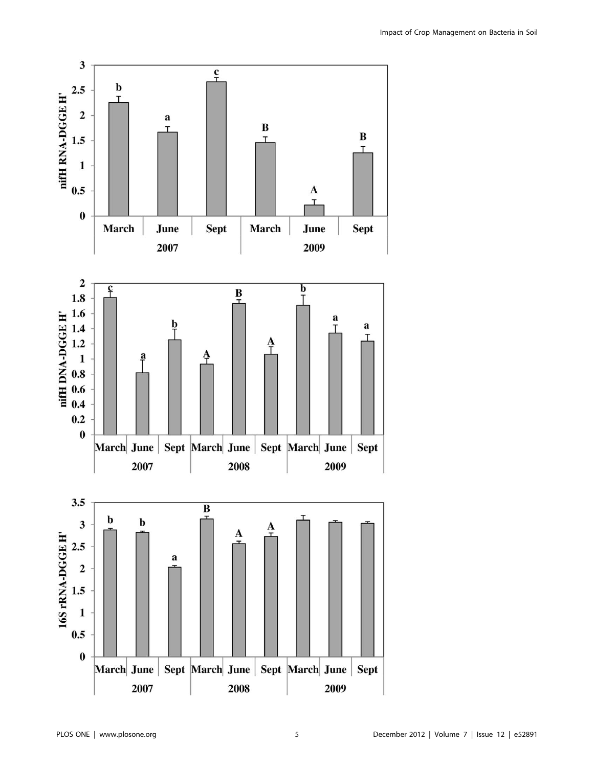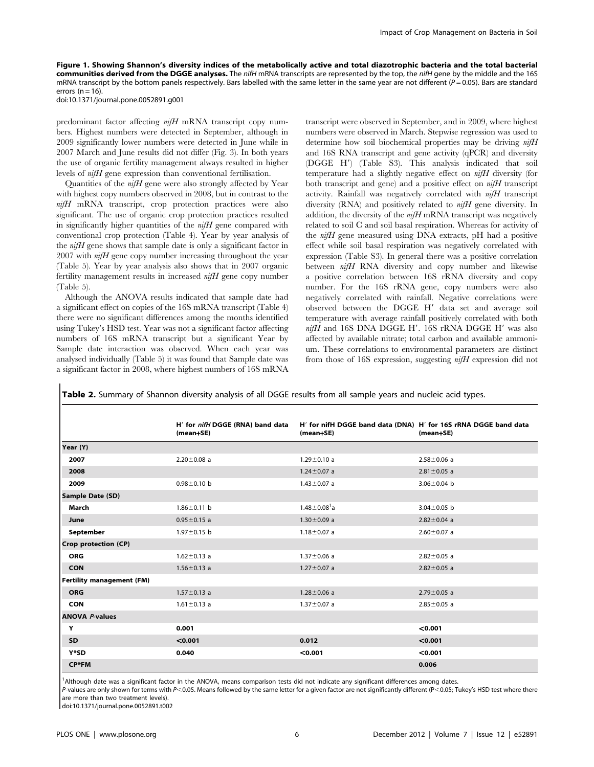Figure 1. Showing Shannon's diversity indices of the metabolically active and total diazotrophic bacteria and the total bacterial communities derived from the DGGE analyses. The nifH mRNA transcripts are represented by the top, the nifH gene by the middle and the 16S mRNA transcript by the bottom panels respectively. Bars labelled with the same letter in the same year are not different ( $P = 0.05$ ). Bars are standard errors ( $n = 16$ ).

doi:10.1371/journal.pone.0052891.g001

predominant factor affecting nifH mRNA transcript copy numbers. Highest numbers were detected in September, although in 2009 significantly lower numbers were detected in June while in 2007 March and June results did not differ (Fig. 3). In both years the use of organic fertility management always resulted in higher levels of nifH gene expression than conventional fertilisation.

Quantities of the  $ni/HI$  gene were also strongly affected by Year with highest copy numbers observed in 2008, but in contrast to the  $nifH$  mRNA transcript, crop protection practices were also significant. The use of organic crop protection practices resulted in significantly higher quantities of the  $niH$  gene compared with conventional crop protection (Table 4). Year by year analysis of the  $niH$  gene shows that sample date is only a significant factor in  $2007$  with  $ni\pi H$  gene copy number increasing throughout the year (Table 5). Year by year analysis also shows that in 2007 organic fertility management results in increased  $m<sub>i</sub>/H$  gene copy number (Table 5).

Although the ANOVA results indicated that sample date had a significant effect on copies of the 16S mRNA transcript (Table 4) there were no significant differences among the months identified using Tukey's HSD test. Year was not a significant factor affecting numbers of 16S mRNA transcript but a significant Year by Sample date interaction was observed. When each year was analysed individually (Table 5) it was found that Sample date was a significant factor in 2008, where highest numbers of 16S mRNA

transcript were observed in September, and in 2009, where highest numbers were observed in March. Stepwise regression was used to determine how soil biochemical properties may be driving  $nifH$ and 16S RNA transcript and gene activity (qPCR) and diversity (DGGE H9) (Table S3). This analysis indicated that soil temperature had a slightly negative effect on  $niH$  diversity (for both transcript and gene) and a positive effect on  $niH$  transcript activity. Rainfall was negatively correlated with  $niH$  transcript diversity (RNA) and positively related to  $niH$  gene diversity. In addition, the diversity of the  $niH$  mRNA transcript was negatively related to soil C and soil basal respiration. Whereas for activity of the  $m<sub>i</sub>H$  gene measured using DNA extracts, pH had a positive effect while soil basal respiration was negatively correlated with expression (Table S3). In general there was a positive correlation between nifH RNA diversity and copy number and likewise a positive correlation between 16S rRNA diversity and copy number. For the 16S rRNA gene, copy numbers were also negatively correlated with rainfall. Negative correlations were observed between the DGGE H' data set and average soil temperature with average rainfall positively correlated with both  $nifH$  and 16S DNA DGGE H'. 16S rRNA DGGE H' was also affected by available nitrate; total carbon and available ammonium. These correlations to environmental parameters are distinct from those of 16S expression, suggesting nifH expression did not

Table 2. Summary of Shannon diversity analysis of all DGGE results from all sample years and nucleic acid types.

|                             | H' for nifH DGGE (RNA) band data<br>(mean+SE) | H' for nifH DGGE band data (DNA) H' for 16S rRNA DGGE band data<br>(mean+SE) | (mean+SE)         |
|-----------------------------|-----------------------------------------------|------------------------------------------------------------------------------|-------------------|
| Year (Y)                    |                                               |                                                                              |                   |
| 2007                        | $2.20 \pm 0.08$ a                             | $1.29 \pm 0.10$ a                                                            | $2.58 \pm 0.06$ a |
| 2008                        |                                               | $1.24 \pm 0.07$ a                                                            | $2.81 \pm 0.05$ a |
| 2009                        | $0.98 \pm 0.10$ b                             | $1.43 \pm 0.07$ a                                                            | $3.06 \pm 0.04$ b |
| Sample Date (SD)            |                                               |                                                                              |                   |
| March                       | $1.86 \pm 0.11$ b                             | $1.48 \pm 0.08$ <sup>1</sup> a                                               | $3.04 \pm 0.05$ b |
| June                        | $0.95 \pm 0.15$ a                             | $1.30 \pm 0.09$ a                                                            | $2.82 \pm 0.04$ a |
| September                   | $1.97 \pm 0.15$ b                             | $1.18 \pm 0.07$ a                                                            | $2.60 \pm 0.07$ a |
| <b>Crop protection (CP)</b> |                                               |                                                                              |                   |
| <b>ORG</b>                  | $1.62 \pm 0.13$ a                             | $1.37 \pm 0.06$ a                                                            | $2.82 \pm 0.05$ a |
| <b>CON</b>                  | $1.56 \pm 0.13$ a                             | $1.27 \pm 0.07$ a                                                            | $2.82 \pm 0.05$ a |
| Fertility management (FM)   |                                               |                                                                              |                   |
| <b>ORG</b>                  | $1.57 \pm 0.13$ a                             | $1.28 \pm 0.06$ a                                                            | $2.79 \pm 0.05$ a |
| <b>CON</b>                  | $1.61 \pm 0.13$ a                             | $1.37 \pm 0.07$ a                                                            | $2.85 \pm 0.05$ a |
| <b>ANOVA P-values</b>       |                                               |                                                                              |                   |
| Y                           | 0.001                                         |                                                                              | < 0.001           |
| <b>SD</b>                   | < 0.001                                       | 0.012                                                                        | < 0.001           |
| Y*SD                        | 0.040                                         | < 0.001                                                                      | < 0.001           |
| <b>CP*FM</b>                |                                               |                                                                              | 0.006             |

<sup>1</sup>Although date was a significant factor in the ANOVA, means comparison tests did not indicate any significant differences among dates.

P-values are only shown for terms with P<0.05. Means followed by the same letter for a given factor are not significantly different (P<0.05; Tukey's HSD test where there are more than two treatment levels).

doi:10.1371/journal.pone.0052891.t002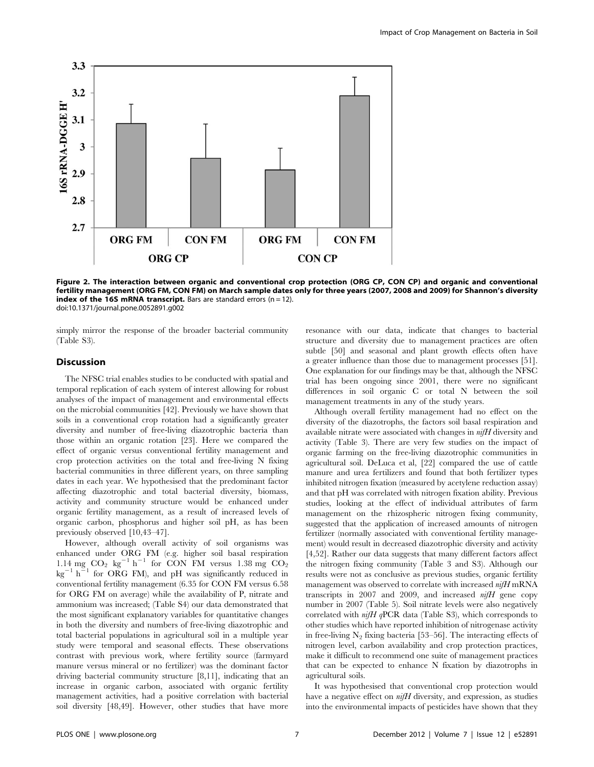

Figure 2. The interaction between organic and conventional crop protection (ORG CP, CON CP) and organic and conventional fertility management (ORG FM, CON FM) on March sample dates only for three years (2007, 2008 and 2009) for Shannon's diversity index of the 16S mRNA transcript. Bars are standard errors  $(n = 12)$ . doi:10.1371/journal.pone.0052891.g002

simply mirror the response of the broader bacterial community (Table S3).

#### Discussion

The NFSC trial enables studies to be conducted with spatial and temporal replication of each system of interest allowing for robust analyses of the impact of management and environmental effects on the microbial communities [42]. Previously we have shown that soils in a conventional crop rotation had a significantly greater diversity and number of free-living diazotrophic bacteria than those within an organic rotation [23]. Here we compared the effect of organic versus conventional fertility management and crop protection activities on the total and free-living N fixing bacterial communities in three different years, on three sampling dates in each year. We hypothesised that the predominant factor affecting diazotrophic and total bacterial diversity, biomass, activity and community structure would be enhanced under organic fertility management, as a result of increased levels of organic carbon, phosphorus and higher soil pH, as has been previously observed [10,43–47].

However, although overall activity of soil organisms was enhanced under ORG FM (e.g. higher soil basal respiration 1.14 mg  $CO_2$  kg<sup>-1</sup> h<sup>-1</sup> for CON FM versus 1.38 mg  $CO_2$  $kg^{-1} h^{-1}$  for ORG FM), and pH was significantly reduced in conventional fertility management (6.35 for CON FM versus 6.58 for ORG FM on average) while the availability of P, nitrate and ammonium was increased; (Table S4) our data demonstrated that the most significant explanatory variables for quantitative changes in both the diversity and numbers of free-living diazotrophic and total bacterial populations in agricultural soil in a multiple year study were temporal and seasonal effects. These observations contrast with previous work, where fertility source (farmyard manure versus mineral or no fertilizer) was the dominant factor driving bacterial community structure [8,11], indicating that an increase in organic carbon, associated with organic fertility management activities, had a positive correlation with bacterial soil diversity [48,49]. However, other studies that have more resonance with our data, indicate that changes to bacterial structure and diversity due to management practices are often subtle [50] and seasonal and plant growth effects often have a greater influence than those due to management processes [51]. One explanation for our findings may be that, although the NFSC trial has been ongoing since 2001, there were no significant differences in soil organic C or total N between the soil management treatments in any of the study years.

Although overall fertility management had no effect on the diversity of the diazotrophs, the factors soil basal respiration and available nitrate were associated with changes in  $niH$  diversity and activity (Table 3). There are very few studies on the impact of organic farming on the free-living diazotrophic communities in agricultural soil. DeLuca et al, [22] compared the use of cattle manure and urea fertilizers and found that both fertilizer types inhibited nitrogen fixation (measured by acetylene reduction assay) and that pH was correlated with nitrogen fixation ability. Previous studies, looking at the effect of individual attributes of farm management on the rhizospheric nitrogen fixing community, suggested that the application of increased amounts of nitrogen fertilizer (normally associated with conventional fertility management) would result in decreased diazotrophic diversity and activity [4,52]. Rather our data suggests that many different factors affect the nitrogen fixing community (Table 3 and S3). Although our results were not as conclusive as previous studies, organic fertility management was observed to correlate with increased  $mH$  mRNA transcripts in 2007 and 2009, and increased  $nifH$  gene copy number in 2007 (Table 5). Soil nitrate levels were also negatively correlated with  $ni\pi H qPCR$  data (Table S3), which corresponds to other studies which have reported inhibition of nitrogenase activity in free-living  $N_2$  fixing bacteria [53–56]. The interacting effects of nitrogen level, carbon availability and crop protection practices, make it difficult to recommend one suite of management practices that can be expected to enhance N fixation by diazotrophs in agricultural soils.

It was hypothesised that conventional crop protection would have a negative effect on  $m\ddot{t}H$  diversity, and expression, as studies into the environmental impacts of pesticides have shown that they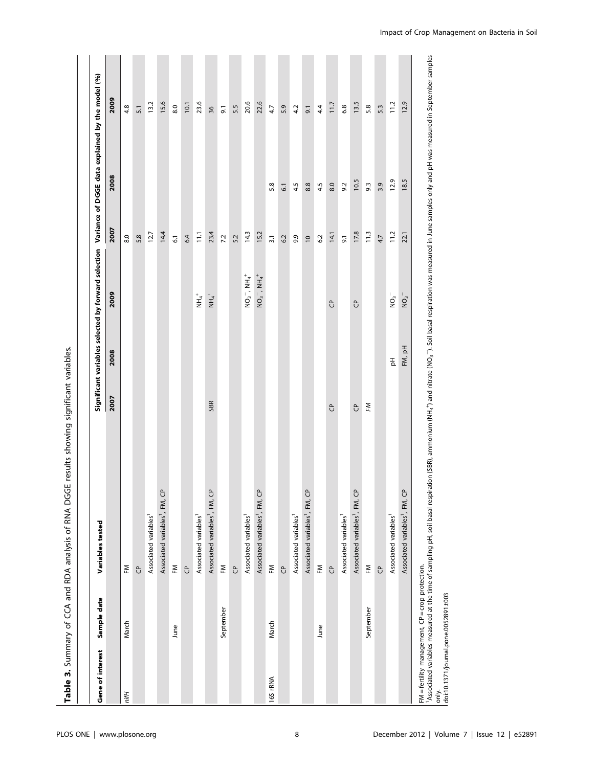|          | Sample date | Variables tested                           |                 |        | Significant variables selected by forward selection           |                  | Variance of DGGE data explained by the model (%) |                |
|----------|-------------|--------------------------------------------|-----------------|--------|---------------------------------------------------------------|------------------|--------------------------------------------------|----------------|
|          |             |                                            | 2007            | 2008   | 2009                                                          | 2007             | 2008                                             | 2009           |
| nifH     | March       | ξÑ                                         |                 |        |                                                               | 8.0              |                                                  | 4.8            |
|          |             | ჭ                                          |                 |        |                                                               | 5.8              |                                                  | 5.1            |
|          |             | Associated variables <sup>1</sup>          |                 |        |                                                               | 12.7             |                                                  | 13.2           |
|          |             | Associated variables <sup>1</sup> , FM, CP |                 |        |                                                               | 14.4             |                                                  | 15.6           |
|          | June        | FM                                         |                 |        |                                                               | $\overline{61}$  |                                                  | 8.0            |
|          |             | ზ                                          |                 |        |                                                               | 6.4              |                                                  | 10.1           |
|          |             | Associated variables <sup>1</sup>          |                 |        | $\stackrel{\scriptscriptstyle +}{\Xi}^{\scriptscriptstyle +}$ | $\overline{11}$  |                                                  | 23.6           |
|          |             | Associated variables <sup>1</sup> , FM, CP | <b>SBR</b>      |        | $\stackrel{+}{\Xi}{}^+$                                       | 23.4             |                                                  | 36             |
|          | September   | ΣĒ                                         |                 |        |                                                               | 7.2              |                                                  | $\overline{9}$ |
|          |             | ზ                                          |                 |        |                                                               | 5.2              |                                                  | 5.5            |
|          |             | Associated variables <sup>1</sup>          |                 |        | $NO_3^-$ , $NH_4^+$                                           | 14.3             |                                                  | 20.6           |
|          |             | Associated variables <sup>1</sup> , FM, CP |                 |        | $NO_3^-$ , $NH_4^+$                                           | 15.2             |                                                  | 22.6           |
| 165 rRNA | March       | ξ                                          |                 |        |                                                               | $\overline{3.1}$ | 5.8                                              | 4.7            |
|          |             | ზ                                          |                 |        |                                                               | 6.2              | $\overline{61}$                                  | 5.9            |
|          |             | Associated variables <sup>1</sup>          |                 |        |                                                               | 9.9              | 4.5                                              | 4.2            |
|          |             | Associated variables <sup>1</sup> , FM, CP |                 |        |                                                               | $\overline{10}$  | 8.8                                              | 9.1            |
|          | June        | 줃                                          |                 |        |                                                               | 62               | 4.5                                              | 4.4            |
|          |             | $\theta$                                   | Ĝ               |        | Ĝ                                                             | 14.1             | 8.0                                              | 11.7           |
|          |             | Associated variables <sup>1</sup>          |                 |        |                                                               | $\overline{9}$ . | 9.2                                              | 6.8            |
|          |             | Associated variables <sup>1</sup> , FM, CP | $\ddot{\sigma}$ |        | G                                                             | 17.8             | 10.5                                             | 13.5           |
|          | September   | $\mathop{\mathbb{E}}$                      | FM              |        |                                                               | 11.3             | 9.3                                              | 5.8            |
|          |             | ზ                                          |                 |        |                                                               | 4.7              | 3.9                                              | 5.3            |
|          |             | Associated variables <sup>1</sup>          |                 | 玉      | $NO_3^-$                                                      | 11.2             | 12.9                                             | 11.2           |
|          |             | Associated variables <sup>1</sup> , FM, CP |                 | FM, pH | $\overline{\text{NO}_3}^-$                                    | 22.1             | 18.5                                             | 12.9           |

PLOS ONE | www.plosone.org | e52891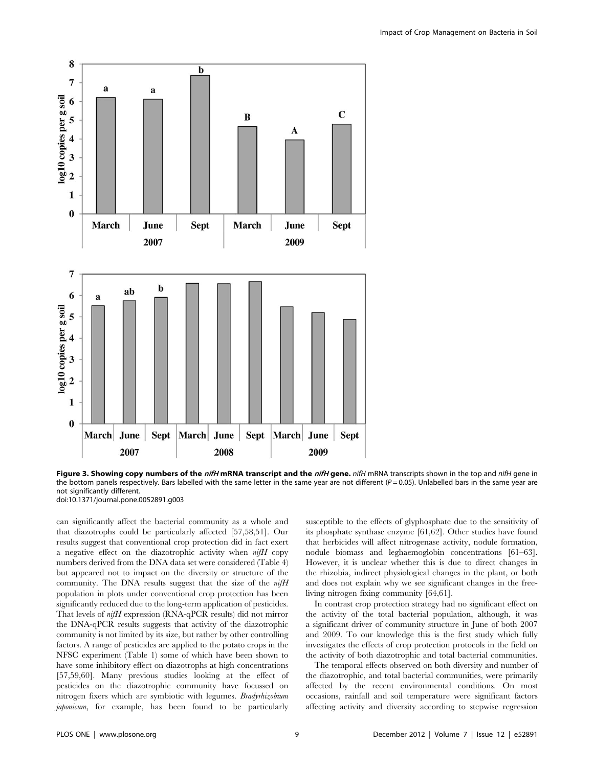



can significantly affect the bacterial community as a whole and that diazotrophs could be particularly affected [57,58,51]. Our results suggest that conventional crop protection did in fact exert a negative effect on the diazotrophic activity when  $niH$  copy numbers derived from the DNA data set were considered (Table 4) but appeared not to impact on the diversity or structure of the community. The DNA results suggest that the size of the  $niH$ population in plots under conventional crop protection has been significantly reduced due to the long-term application of pesticides. That levels of nifH expression (RNA-qPCR results) did not mirror the DNA-qPCR results suggests that activity of the diazotrophic community is not limited by its size, but rather by other controlling factors. A range of pesticides are applied to the potato crops in the NFSC experiment (Table 1) some of which have been shown to have some inhibitory effect on diazotrophs at high concentrations [57,59,60]. Many previous studies looking at the effect of pesticides on the diazotrophic community have focussed on nitrogen fixers which are symbiotic with legumes. Bradyrhizobium japonicum, for example, has been found to be particularly susceptible to the effects of glyphosphate due to the sensitivity of its phosphate synthase enzyme [61,62]. Other studies have found that herbicides will affect nitrogenase activity, nodule formation, nodule biomass and leghaemoglobin concentrations [61–63]. However, it is unclear whether this is due to direct changes in the rhizobia, indirect physiological changes in the plant, or both and does not explain why we see significant changes in the freeliving nitrogen fixing community [64,61].

In contrast crop protection strategy had no significant effect on the activity of the total bacterial population, although, it was a significant driver of community structure in June of both 2007 and 2009. To our knowledge this is the first study which fully investigates the effects of crop protection protocols in the field on the activity of both diazotrophic and total bacterial communities.

The temporal effects observed on both diversity and number of the diazotrophic, and total bacterial communities, were primarily affected by the recent environmental conditions. On most occasions, rainfall and soil temperature were significant factors affecting activity and diversity according to stepwise regression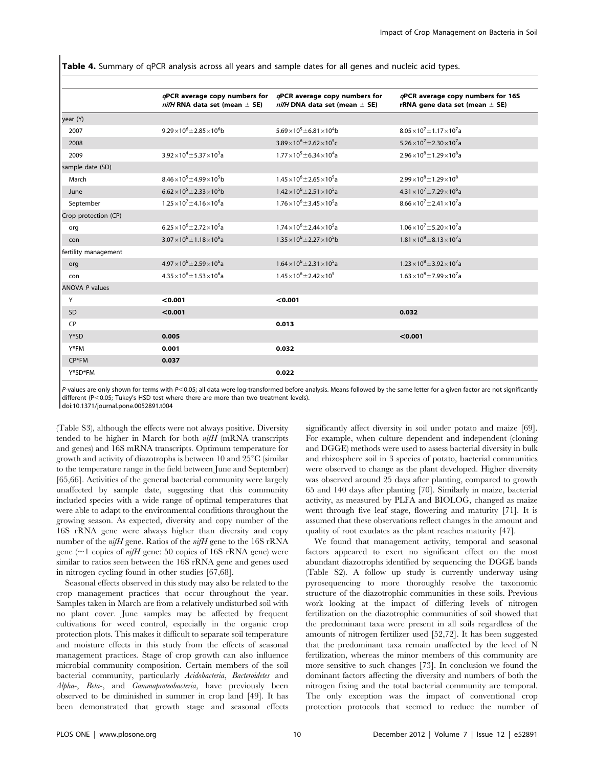**Table 4.** Summary of qPCR analysis across all years and sample dates for all genes and nucleic acid types.

|                       | qPCR average copy numbers for<br>$nifH$ RNA data set (mean $\pm$ SE) | qPCR average copy numbers for<br>$nifH$ DNA data set (mean $\pm$ SE) | qPCR average copy numbers for 16S<br>rRNA gene data set (mean $\pm$ SE) |
|-----------------------|----------------------------------------------------------------------|----------------------------------------------------------------------|-------------------------------------------------------------------------|
| year (Y)              |                                                                      |                                                                      |                                                                         |
| 2007                  | $9.29 \times 10^6 \pm 2.85 \times 10^6$ b                            | $5.69 \times 10^5 \pm 6.81 \times 10^4$ b                            | $8.05 \times 10^{7} \pm 1.17 \times 10^{7}$ a                           |
| 2008                  |                                                                      | $3.89\times10^{6}$ ± 2.62 × 10 <sup>5</sup> c                        | $5.26 \times 10^{7} \pm 2.30 \times 10^{7}$ a                           |
| 2009                  | $3.92 \times 10^4 \pm 5.37 \times 10^3$ a                            | $1.77 \times 10^5 \pm 6.34 \times 10^4$ a                            | $2.96 \times 10^8 \pm 1.29 \times 10^8$ a                               |
| sample date (SD)      |                                                                      |                                                                      |                                                                         |
| March                 | $8.46 \times 10^5 \pm 4.99 \times 10^5$ b                            | $1.45 \times 10^6 \pm 2.65 \times 10^5$ a                            | $2.99 \times 10^8 \pm 1.29 \times 10^8$                                 |
| June                  | $6.62 \times 10^5 \pm 2.33 \times 10^5$ b                            | $1.42 \times 10^6 \pm 2.51 \times 10^5$ a                            | $4.31 \times 10^{7} \pm 7.29 \times 10^{6}$ a                           |
| September             | $1.25 \times 10^7 \pm 4.16 \times 10^6$ a                            | $1.76 \times 10^6 \pm 3.45 \times 10^5$ a                            | $8.66 \times 10^{7} \pm 2.41 \times 10^{7}$ a                           |
| Crop protection (CP)  |                                                                      |                                                                      |                                                                         |
| org                   | $6.25 \times 10^{6} + 2.72 \times 10^{5}$ a                          | $1.74 \times 10^6 + 2.44 \times 10^5$ a                              | $1.06 \times 10^7 + 5.20 \times 10^7$ a                                 |
| con                   | $3.07 \times 10^6 \pm 1.18 \times 10^6$ a                            | $1.35 \times 10^6 \pm 2.27 \times 10^5$ b                            | $1.81 \times 10^8 \pm 8.13 \times 10^7$ a                               |
| fertility management  |                                                                      |                                                                      |                                                                         |
| org                   | $4.97 \times 10^{6} \pm 2.59 \times 10^{6}$ a                        | $1.64 \times 10^6 \pm 2.31 \times 10^5$ a                            | $1.23 \times 10^8 \pm 3.92 \times 10^7$ a                               |
| con                   | $4.35 \times 10^6 \pm 1.53 \times 10^6$ a                            | $1.45 \times 10^{6} \pm 2.42 \times 10^{5}$                          | $1.63 \times 10^8 \pm 7.99 \times 10^7$ a                               |
| <b>ANOVA P values</b> |                                                                      |                                                                      |                                                                         |
| Y                     | < 0.001                                                              | < 0.001                                                              |                                                                         |
| <b>SD</b>             | < 0.001                                                              |                                                                      | 0.032                                                                   |
| <b>CP</b>             |                                                                      | 0.013                                                                |                                                                         |
| Y*SD                  | 0.005                                                                |                                                                      | < 0.001                                                                 |
| Y*FM                  | 0.001                                                                | 0.032                                                                |                                                                         |
| CP*FM                 | 0.037                                                                |                                                                      |                                                                         |
| Y*SD*FM               |                                                                      | 0.022                                                                |                                                                         |

P-values are only shown for terms with P<0.05; all data were log-transformed before analysis. Means followed by the same letter for a given factor are not significantly different ( $P < 0.05$ ; Tukey's HSD test where there are more than two treatment levels). doi:10.1371/journal.pone.0052891.t004

(Table S3), although the effects were not always positive. Diversity tended to be higher in March for both  $nifH$  (mRNA transcripts and genes) and 16S mRNA transcripts. Optimum temperature for growth and activity of diazotrophs is between 10 and 25<sup>°</sup>C (similar to the temperature range in the field between June and September) [65,66]. Activities of the general bacterial community were largely unaffected by sample date, suggesting that this community included species with a wide range of optimal temperatures that were able to adapt to the environmental conditions throughout the growing season. As expected, diversity and copy number of the 16S rRNA gene were always higher than diversity and copy number of the  $niH$  gene. Ratios of the  $niH$  gene to the 16S rRNA gene  $(\sim]$  copies of *nifH* gene: 50 copies of 16S rRNA gene) were similar to ratios seen between the 16S rRNA gene and genes used in nitrogen cycling found in other studies [67,68].

Seasonal effects observed in this study may also be related to the crop management practices that occur throughout the year. Samples taken in March are from a relatively undisturbed soil with no plant cover. June samples may be affected by frequent cultivations for weed control, especially in the organic crop protection plots. This makes it difficult to separate soil temperature and moisture effects in this study from the effects of seasonal management practices. Stage of crop growth can also influence microbial community composition. Certain members of the soil bacterial community, particularly Acidobacteria, Bacteroidetes and Alpha-, Beta-, and Gammaproteobacteria, have previously been observed to be diminished in summer in crop land [49]. It has been demonstrated that growth stage and seasonal effects significantly affect diversity in soil under potato and maize [69]. For example, when culture dependent and independent (cloning and DGGE) methods were used to assess bacterial diversity in bulk and rhizosphere soil in 3 species of potato, bacterial communities were observed to change as the plant developed. Higher diversity was observed around 25 days after planting, compared to growth 65 and 140 days after planting [70]. Similarly in maize, bacterial activity, as measured by PLFA and BIOLOG, changed as maize went through five leaf stage, flowering and maturity [71]. It is assumed that these observations reflect changes in the amount and quality of root exudates as the plant reaches maturity [47].

We found that management activity, temporal and seasonal factors appeared to exert no significant effect on the most abundant diazotrophs identified by sequencing the DGGE bands (Table S2). A follow up study is currently underway using pyrosequencing to more thoroughly resolve the taxonomic structure of the diazotrophic communities in these soils. Previous work looking at the impact of differing levels of nitrogen fertilization on the diazotrophic communities of soil showed that the predominant taxa were present in all soils regardless of the amounts of nitrogen fertilizer used [52,72]. It has been suggested that the predominant taxa remain unaffected by the level of N fertilization, whereas the minor members of this community are more sensitive to such changes [73]. In conclusion we found the dominant factors affecting the diversity and numbers of both the nitrogen fixing and the total bacterial community are temporal. The only exception was the impact of conventional crop protection protocols that seemed to reduce the number of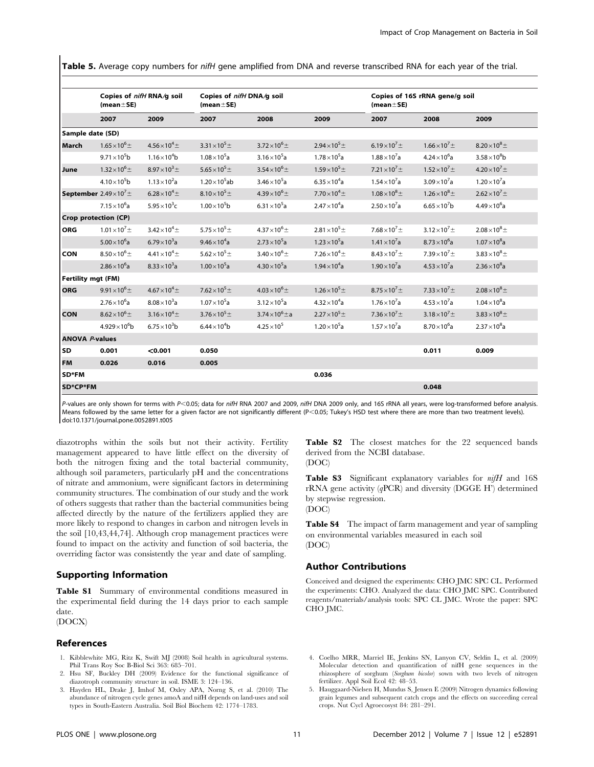Table 5. Average copy numbers for nifH gene amplified from DNA and reverse transcribed RNA for each year of the trial.

|                       | Copies of nifH RNA/q soil<br>$(mean \pm SE)$  |                          | Copies of nifH DNA/q soil<br>$(mean \pm SE)$ |                          | Copies of 16S rRNA gene/g soil<br>$(mean \pm SE)$ |                                     |                                     |                        |
|-----------------------|-----------------------------------------------|--------------------------|----------------------------------------------|--------------------------|---------------------------------------------------|-------------------------------------|-------------------------------------|------------------------|
|                       | 2007                                          | 2009                     | 2007                                         | 2008                     | 2009                                              | 2007                                | 2008                                | 2009                   |
| Sample date (SD)      |                                               |                          |                                              |                          |                                                   |                                     |                                     |                        |
| March                 | $1.65 \times 10^{6}$ ±                        | $4.56 \times 10^{4} \pm$ | $3.31 \times 10^5 \pm$                       | $3.72 \times 10^{6}$ ±   | $2.94 \times 10^{5}$ ±                            | $6.19 \times 10^{7}$ ±              | $1.66 \times 10^{7}$ ±              | $8.20 \times 10^8 \pm$ |
|                       | $9.71 \times 10^{5} b$                        | $1.16 \times 10^{4} b$   | $1.08\times10^{5}$ a                         | $3.16 \times 10^{5} a$   | $1.78\times10^{5}$ a                              | $1.88 \times 10^{7}$ a              | $4.24 \times 10^{6}$ a              | $3.58\times10^8$ b     |
| June                  | $1.32 \times 10^{6}$ ±                        | $8.97 \times 10^{3} \pm$ | $5.65 \times 10^{5}$ ±                       | $3.54\times10^{6}$ ±     | $1.59\times10^{5}$ ±                              | 7.21 $\times$ 10 <sup>7</sup> $\pm$ | $1.52 \times 10^{7}$ ±              | $4.20 \times 10^{7}$ ± |
|                       | $4.10\times10^{5}b$                           | $1.13 \times 10^{2}$ a   | $1.20\times10^5$ ab                          | $3.46 \times 10^{5}$ a   | $6.35 \times 10^{4}$ a                            | $1.54\times10^{7}a$                 | $3.09 \times 10^{7} a$              | $1.20\times10^{7}$ a   |
|                       | September 2.49 $\times$ 10 <sup>7</sup> $\pm$ | $6.28 \times 10^{4} \pm$ | $8.10\times10^{5}$ ±                         | $4.39\times10^{6}$ ±     | 7.70 $\times$ 10 <sup>4</sup> $\pm$               | $1.08\times10^{8}$ ±                | $1.26 \times 10^8 \pm$              | $2.62 \times 10^{7}$ ± |
|                       | $7.15 \times 10^{6}$ a                        | $5.95 \times 10^3$ c     | $1.00\times10^5$ b                           | $6.31 \times 10^{5}$ a   | $2.47 \times 10^{4}$ a                            | $2.50\times10^{7}a$                 | $6.65 \times 10^{7} b$              | $4.49\times10^{6}$ a   |
|                       | Crop protection (CP)                          |                          |                                              |                          |                                                   |                                     |                                     |                        |
| <b>ORG</b>            | $1.01 \times 10^{7}$ ±                        | $3.42 \times 10^{4}$ ±   | $5.75 \times 10^5$ ±                         | $4.37 \times 10^{6} \pm$ | $2.81 \times 10^{5}$ ±                            | $7.68 \times 10^{7} \pm$            | $3.12 \times 10^{7}$ ±              | $2.08 \times 10^8 \pm$ |
|                       | $5.00\times10^{6}$ a                          | $6.79 \times 10^{3}$ a   | $9.46 \times 10^{4}$ a                       | $2.73 \times 10^{5}$ a   | $1.23 \times 10^{5}$ a                            | $1.41 \times 10^{7}$ a              | $8.73 \times 10^{6}$ a              | $1.07\times10^8$ a     |
| <b>CON</b>            | $8.50\times10^{6}$ ±                          | $4.41 \times 10^{4}$ ±   | 5.62 $\times$ 10 <sup>5</sup> $\pm$          | $3.40\times10^{6}$ ±     | 7.26 $\times$ 10 <sup>4</sup> $\pm$               | $8.43 \times 10^{7}$ ±              | 7.39 $\times$ 10 <sup>7</sup> $\pm$ | $3.83 \times 10^8 \pm$ |
|                       | $2.86 \times 10^{6}$ a                        | $8.33 \times 10^{3}$ a   | $1.00\times10^{5}$ a                         | $4.30 \times 10^{5}$ a   | $1.94\times10^{4}$ a                              | $1.90\times10^{7}a$                 | $4.53 \times 10^{7} a$              | $2.36 \times 10^8$ a   |
| Fertility mgt (FM)    |                                               |                          |                                              |                          |                                                   |                                     |                                     |                        |
| <b>ORG</b>            | $9.91 \times 10^{6}$ ±                        | $4.67 \times 10^{4} \pm$ | $7.62 \times 10^5 \pm$                       | $4.03 \times 10^{6}$ ±   | $1.26 \times 10^5 \pm$                            | $8.75 \times 10^{7}$ ±              | $7.33 \times 10^{7}$ ±              | $2.08\times10^{8}$ ±   |
|                       | $2.76 \times 10^{6}$ a                        | $8.08 \times 10^{3}$ a   | $1.07 \times 10^{5}$ a                       | $3.12 \times 10^{5}$ a   | $4.32 \times 10^{4}$ a                            | $1.76 \times 10^{7} a$              | $4.53 \times 10^{7}$ a              | $1.04 \times 10^{8}$ a |
| <b>CON</b>            | $8.62\times10^{6}$ ±                          | $3.16 \times 10^{4} \pm$ | $3.76 \times 10^5 \pm$                       | $3.74 \times 10^{6}$ ± a | $2.27 \times 10^{5}$ ±                            | $7.36\times10^{7}$ ±                | $3.18 \times 10^{7}$ ±              | $3.83 \times 10^8 \pm$ |
|                       | $4.929\times10^{6}b$                          | $6.75 \times 10^{3} b$   | $6.44 \times 10^{4} b$                       | $4.25 \times 10^{5}$     | $1.20 \times 10^{5}$ a                            | $1.57 \times 10^{7}$ a              | $8.70 \times 10^{6}$ a              | $2.37 \times 10^8$ a   |
| <b>ANOVA P-values</b> |                                               |                          |                                              |                          |                                                   |                                     |                                     |                        |
| <b>SD</b>             | 0.001                                         | < 0.001                  | 0.050                                        |                          |                                                   |                                     | 0.011                               | 0.009                  |
| <b>FM</b>             | 0.026                                         | 0.016                    | 0.005                                        |                          |                                                   |                                     |                                     |                        |
| SD*FM                 |                                               |                          |                                              |                          | 0.036                                             |                                     |                                     |                        |
| <b>SD*CP*FM</b>       |                                               |                          |                                              |                          |                                                   |                                     | 0.048                               |                        |

P-values are only shown for terms with P<0.05; data for nifH RNA 2007 and 2009, nifH DNA 2009 only, and 16S rRNA all years, were log-transformed before analysis. Means followed by the same letter for a given factor are not significantly different (P<0.05; Tukey's HSD test where there are more than two treatment levels). doi:10.1371/journal.pone.0052891.t005

diazotrophs within the soils but not their activity. Fertility management appeared to have little effect on the diversity of both the nitrogen fixing and the total bacterial community, although soil parameters, particularly pH and the concentrations of nitrate and ammonium, were significant factors in determining community structures. The combination of our study and the work of others suggests that rather than the bacterial communities being affected directly by the nature of the fertilizers applied they are more likely to respond to changes in carbon and nitrogen levels in the soil [10,43,44,74]. Although crop management practices were found to impact on the activity and function of soil bacteria, the overriding factor was consistently the year and date of sampling.

## Supporting Information

Table S1 Summary of environmental conditions measured in the experimental field during the 14 days prior to each sample date.

(DOCX)

#### References

- 1. Kibblewhite MG, Ritz K, Swift MJ (2008) Soil health in agricultural systems. Phil Trans Roy Soc B-Biol Sci 363: 685–701.
- 2. Hsu SF, Buckley DH (2009) Evidence for the functional significance of diazotroph community structure in soil. ISME 3: 124–136.
- 3. Hayden HL, Drake J, Imhof M, Oxley APA, Norng S, et al. (2010) The abundance of nitrogen cycle genes amoA and nifH depends on land-uses and soil types in South-Eastern Australia. Soil Biol Biochem 42: 1774–1783.

Table S2 The closest matches for the 22 sequenced bands derived from the NCBI database.

(DOC)

Table S3 Significant explanatory variables for  $niH$  and 16S rRNA gene activity  $(qPCR)$  and diversity (DGGE H') determined by stepwise regression. (DOC)

Table S4 The impact of farm management and year of sampling on environmental variables measured in each soil (DOC)

### Author Contributions

Conceived and designed the experiments: CHO JMC SPC CL. Performed the experiments: CHO. Analyzed the data: CHO JMC SPC. Contributed reagents/materials/analysis tools: SPC CL JMC. Wrote the paper: SPC CHO JMC.

- 4. Coelho MRR, Marriel IE, Jenkins SN, Lanyon CV, Seldin L, et al. (2009) Molecular detection and quantification of nifH gene sequences in the rhizosphere of sorghum (Sorghum bicolor) sown with two levels of nitrogen fertilizer. Appl Soil Ecol 42: 48–53.
- 5. Hauggaard-Nielsen H, Mundus S, Jensen E (2009) Nitrogen dynamics following grain legumes and subsequent catch crops and the effects on succeeding cereal crops. Nut Cycl Agroecosyst 84: 281–291.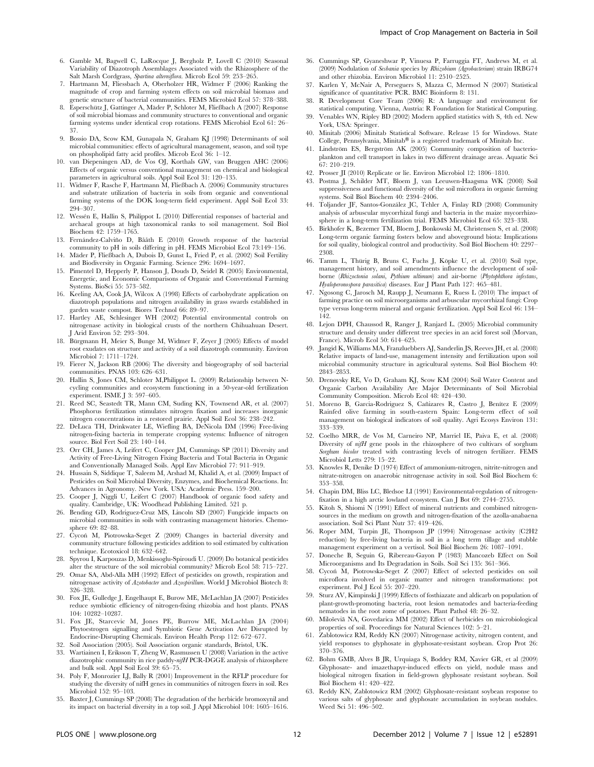- 6. Gamble M, Bagwell C, LaRocque J, Bergholz P, Lovell C (2010) Seasonal Variability of Diazotroph Assemblages Associated with the Rhizosphere of the Salt Marsh Cordgrass, Spartina alterniflora. Microb Ecol 59: 253–265.
- 7. Hartmann M, Fliessbach A, Oberholzer HR, Widmer F (2006) Ranking the magnitude of crop and farming system effects on soil microbial biomass and genetic structure of bacterial communities. FEMS Microbiol Ecol 57: 378-388.
- 8. Esperschütz J, Gattinger A, Mäder P, Schloter M, Fließbach A (2007) Response of soil microbial biomass and community structures to conventional and organic farming systems under identical crop rotations. FEMS Microbiol Ecol 61: 26– 37.
- 9. Bossio DA, Scow KM, Gunapala N, Graham KJ (1998) Determinants of soil microbial communities: effects of agricultural management, season, and soil type on phospholipid fatty acid profiles. Microb Ecol 36: 1–12.
- 10. van Diepeningen AD, de Vos OJ, Korthals GW, van Bruggen AHC (2006) Effects of organic versus conventional management on chemical and biological parameters in agricultural soils. Appl Soil Ecol 31: 120–135.
- 11. Widmer F, Rasche F, Hartmann M, Fließbach A. (2006) Community structures and substrate utilization of bacteria in soils from organic and conventional farming systems of the DOK long-term field experiment. Appl Soil Ecol 33: 294–307.
- 12. Wessén E, Hallin S, Philippot L (2010) Differential responses of bacterial and archaeal groups at high taxonomical ranks to soil management. Soil Biol Biochem 42: 1759–1765.
- 13. Fernández-Calviño D, Bååth E (2010) Growth response of the bacterial community to pH in soils differing in pH. FEMS Microbiol Ecol 73:149–156.
- Mäder P, Fließbach A, Dubois D, Gunst L, Fried P, et al. (2002) Soil Fertility and Biodiversity in Organic Farming. Science 296: 1694–1697.
- 15. Pimentel D, Hepperly P, Hanson J, Douds D, Seidel R (2005) Environmental, Energetic, and Economic Comparisons of Organic and Conventional Farming Systems. BioSci 55: 573–582.
- 16. Keeling AA, Cook JA, Wilcox A (1998) Effects of carbohydrate application on diazotroph populations and nitrogen availability in grass swards established in garden waste compost. Biores Technol 66: 89–97.
- 17. Hartley AE, Schlesinger WH (2002) Potential environmental controls on nitrogenase activity in biological crusts of the northern Chihuahuan Desert. J Arid Environ 52: 293–304.
- 18. Bürgmann H, Meier S, Bunge M, Widmer F, Zeyer J (2005) Effects of model root exudates on structure and activity of a soil diazotroph community. Environ Microbiol 7: 1711–1724.
- 19. Fierer N, Jackson RB (2006) The diversity and biogeography of soil bacterial communities. PNAS 103: 626–631.
- 20. Hallin S, Jones CM, Schloter M,Philippot L. (2009) Relationship between Ncycling communities and ecosystem functioning in a 50-year-old fertilization experiment. ISME J 3: 597–605.
- 21. Reed SC, Seastedt TR, Mann CM, Suding KN, Townsend AR, et al. (2007) Phosphorus fertilization stimulates nitrogen fixation and increases inorganic nitrogen concentrations in a restored prairie. Appl Soil Ecol 36: 238–242.
- 22. DeLuca TH, Drinkwater LE, Wiefling BA, DeNicola DM (1996) Free-living nitrogen-fixing bacteria in temperate cropping systems: Influence of nitrogen source. Biol Fert Soil 23: 140–144.
- 23. Orr CH, James A, Leifert C, Cooper JM, Cummings SP (2011) Diversity and Activity of Free-Living Nitrogen Fixing Bacteria and Total Bacteria in Organic and Conventionally Managed Soils. Appl Env Microbiol 77: 911–919.
- 24. Hussain S, Siddique T, Saleem M, Arshad M, Khalid A, et al. (2009) Impact of Pesticides on Soil Microbial Diversity, Enzymes, and Biochemical Reactions. In: Advances in Agronomy. New York. USA: Academic Press. 159–200.
- 25. Cooper J, Niggli U, Leifert C (2007) Handbook of organic food safety and quality. Cambridge, UK: Woodhead Publishing Limited. 521 p.
- 26. Bending GD, Rodríguez-Cruz MS, Lincoln SD (2007) Fungicide impacts on microbial communities in soils with contrasting management histories. Chemosphere 69: 82–88.
- 27. Cycon´ M, Piotrowska-Seget Z (2009) Changes in bacterial diversity and community structure following pesticides addition to soil estimated by cultivation technique. Ecotoxicol 18: 632–642.
- 28. Spyrou I, Karpouzas D, Menkissoglu-Spiroudi U. (2009) Do botanical pesticides alter the structure of the soil microbial community? Microb Ecol 58: 715–727.
- 29. Omar SA, Abd-Alla MH (1992) Effect of pesticides on growth, respiration and nitrogenase activity of Azotobacter and Azospirillum. World J Microbiol Biotech 8: 326–328.
- 30. Fox JE, Gulledge J, Engelhaupt E, Burow ME, McLachlan JA (2007) Pesticides reduce symbiotic efficiency of nitrogen-fixing rhizobia and host plants. PNAS 104: 10282–10287.
- 31. Fox JE, Starcevic M, Jones PE, Burrow ME, McLachlan JA (2004) Phytoestrogen signalling and Symbiotic Gene Activation Are Disrupted by Endocrine-Disrupting Chemicals. Environ Health Persp 112: 672–677.
- 32. Soil Association (2005). Soil Association organic standards, Bristol, UK.
- 33. Wartiainen I, Eriksson T, Zheng W, Rasmussen U (2008) Variation in the active diazotrophic community in rice paddy-nifH PCR-DGGE analysis of rhizosphere and bulk soil. Appl Soil Ecol 39: 65–75.
- 34. Poly F, Monrozier LJ, Bally R (2001) Improvement in the RFLP procedure for studying the diversity of nifH genes in communities of nitrogen fixers in soil. Res Microbiol 152: 95–103.
- 35. Baxter J, Cummings SP (2008) The degradation of the herbicide bromoxynil and its impact on bacterial diversity in a top soil. J Appl Microbiol 104: 1605–1616.
- 36. Cummings SP, Gyaneshwar P, Vinuesa P, Farruggia FT, Andrews M, et al. (2009) Nodulation of Sesbania species by Rhizobium (Agrobacterium) strain IRBG74 and other rhizobia. Environ Microbiol 11: 2510–2525.
- 37. Karlen Y, McNair A, Perseguers S, Mazza C, Mermod N (2007) Statistical significance of quantitative PCR. BMC Bioinform 8: 131.
- 38. R Development Core Team (2006) R: A language and environment for statistical computing. Vienna, Austria: R Foundation for Statistical Computing.
- 39. Venables WN, Ripley BD (2002) Modern applied statistics with S, 4th ed. New York, USA: Springer.
- 40. Minitab (2006) Minitab Statistical Software. Release 15 for Windows. State College, Pennsylvania, Minitab<sup>®</sup> is a registered trademark of Minitab Inc.
- 41. Lindström ES, Bergström AK (2005) Community composition of bacterioplankton and cell transport in lakes in two different drainage areas. Aquatic Sci 67: 210–219.
- 42. Prosser JI (2010) Replicate or lie. Environ Microbiol 12: 1806–1810.
- 43. Postma J, Schilder MT, Bloem J, van Leeuwen-Haagsma WK (2008) Soil suppressiveness and functional diversity of the soil microflora in organic farming systems. Soil Biol Biochem 40: 2394–2406.
- 44. Toljander JF, Santos-González JC, Tehler A, Finlay RD (2008) Community analysis of arbuscular mycorrhizal fungi and bacteria in the maize mycorrhizosphere in a long-term fertilization trial. FEMS Microbiol Ecol 65: 323–338.
- 45. Birkhofer K, Bezemer TM, Bloem J, Bonkowski M, Christensen S, et al. (2008) Long-term organic farming fosters below and aboveground biota: Implications for soil quality, biological control and productivity. Soil Biol Biochem 40: 2297– 2308.
- 46. Tamm L, Thürig B, Bruns C, Fuchs J, Köpke U, et al. (2010) Soil type, management history, and soil amendments influence the development of soilborne (Rhizoctonia solani, Pythium ultimum) and air-borne (Phytophthora infestans, Hyaloperonospora parasitica) diseases. Eur J Plant Path 127: 465–481.
- 47. Ngosong C, Jarosch M, Raupp J, Neumann E, Ruess L (2010) The impact of farming practice on soil microorganisms and arbuscular mycorrhizal fungi: Crop type versus long-term mineral and organic fertilization. Appl Soil Ecol 46: 134– 142.
- 48. Lejon DPH, Chaussod R, Ranger J, Ranjard L. (2005) Microbial community structure and density under different tree species in an acid forest soil (Morvan, France). Microb Ecol 50: 614–625.
- 49. Jangid K, Williams MA, Franzluebbers AJ, Sanderlin JS, Reeves JH, et al. (2008) Relative impacts of land-use, management intensity and fertilization upon soil microbial community structure in agricultural systems. Soil Biol Biochem 40: 2843–2853.
- 50. Drenovsky RE, Vo D, Graham KJ, Scow KM (2004) Soil Water Content and Organic Carbon Availability Are Major Determinants of Soil Microbial Community Composition. Microb Ecol 48: 424–430.
- 51. Moreno B, Garcia-Rodriguez S, Cañizares R, Castro J, Benítez E (2009) Rainfed olive farming in south-eastern Spain: Long-term effect of soil management on biological indicators of soil quality. Agri Ecosys Environ 131: 333–339.
- 52. Coelho MRR, de Vos M, Carneiro NP, Marriel IE, Paiva E, et al. (2008) Diversity of  $nifH$  gene pools in the rhizosphere of two cultivars of sorghum Sorghum bicolor treated with contrasting levels of nitrogen fertilizer. FEMS Microbiol Letts 279: 15–22.
- 53. Knowles R, Denike D (1974) Effect of ammonium-nitrogen, nitrite-nitrogen and nitrate-nitrogen on anaerobic nitrogenase activity in soil. Soil Biol Biochem 6: 353–358.
- 54. Chapin DM, Bliss LC, Bledsoe LI (1991) Environmental-regulation of nitrogenfixation in a high arctic lowland ecosystem. Can J Bot 69: 2744–2755.
- 55. Kitoh S, Shiomi N (1991) Effect of mineral nutrients and combined nitrogensources in the medium on growth and nitrogen-fixation of the azolla-anabaena association. Soil Sci Plant Nutr 37: 419–426.
- 56. Roper MM, Turpin JE, Thompson JP (1994) Nitrogenase activity (C2H2 reduction) by free-living bacteria in soil in a long term tillage and stubble management experiment on a vertisol. Soil Biol Biochem 26: 1087–1091.
- 57. Doneche B, Seguin G, Ribereau-Gayon P (1983) Mancozeb Effect on Soil Microorganisms and Its Degradation in Soils. Soil Sci 135: 361–366.
- 58. Cycon´ M, Piotrowska-Seget Z (2007) Effect of selected pesticides on soil microflora involved in organic matter and nitrogen transformations: pot experiment. Pol J Ecol 55: 207–220.
- 59. Sturz AV, Kimpinski J (1999) Effects of fosthiazate and aldicarb on population of plant-growth-promoting bacteria, root lesion nematodes and bacteria-feeding nematodes in the root zome of potatoes. Plant Pathol 48: 26–32.
- 60. Miloševiã NA, Govedarica MM (2002) Effect of herbicides on microbiological properties of soil. Proceedings for Natural Sciences 102: 5–21.
- 61. Zablotowicz RM, Reddy KN (2007) Nitrogenase activity, nitrogen content, and yield responses to glyphosate in glyphosate-resistant soybean. Crop Prot 26: 370–376.
- 62. Bohm GMB, Alves B JR, Urquiaga S, Boddey RM, Xavier GR, et al (2009) Glyphosate- and imazethapyr-induced effects on yield, nodule mass and biological nitrogen fixation in field-grown glyphosate resistant soybean. Soil Biol Biochem 41: 420–422.
- 63. Reddy KN, Zablotowicz RM (2002) Glyphosate-resistant soybean response to various salts of glyphosate and glyphosate accumulation in soybean nodules. Weed Sci 51: 496–502.